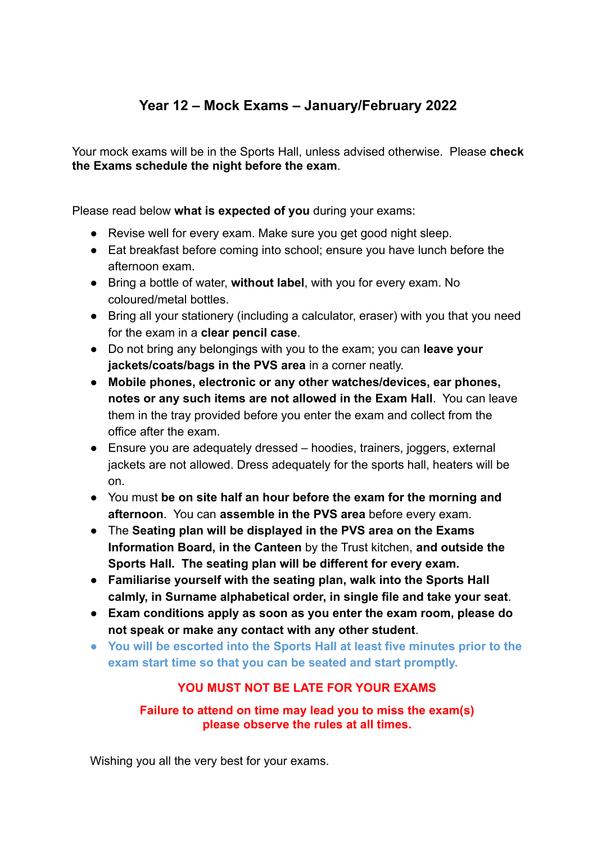## **Year 12 – Mock Exams – January/February 2022**

Your mock exams will be in the Sports Hall, unless advised otherwise. Please **check the Exams schedule the night before the exam**.

Please read below **what is expected of you** during your exams:

- Revise well for every exam. Make sure you get good night sleep.
- Eat breakfast before coming into school; ensure you have lunch before the afternoon exam.
- Bring a bottle of water, **without label**, with you for every exam. No coloured/metal bottles.
- Bring all your stationery (including a calculator, eraser) with you that you need for the exam in a **clear pencil case**.
- Do not bring any belongings with you to the exam; you can **leave your jackets/coats/bags in the PVS area** in a corner neatly.
- **Mobile phones, electronic or any other watches/devices, ear phones, notes or any such items are not allowed in the Exam Hall**. You can leave them in the tray provided before you enter the exam and collect from the office after the exam.
- Ensure you are adequately dressed hoodies, trainers, joggers, external jackets are not allowed. Dress adequately for the sports hall, heaters will be on.
- You must **be on site half an hour before the exam for the morning and afternoon**. You can **assemble in the PVS area** before every exam.
- **●** The **Seating plan will be displayed in the PVS area on the Exams Information Board, in the Canteen** by the Trust kitchen, **and outside the Sports Hall. The seating plan will be different for every exam.**
- **Familiarise yourself with the seating plan, walk into the Sports Hall calmly, in Surname alphabetical order, in single file and take your seat**.
- **Exam conditions apply as soon as you enter the exam room, please do not speak or make any contact with any other student**.
- **● You will be escorted into the Sports Hall at least five minutes prior to the exam start time so that you can be seated and start promptly.**

## **YOU MUST NOT BE LATE FOR YOUR EXAMS**

**Failure to attend on time may lead you to miss the exam(s) please observe the rules at all times.**

Wishing you all the very best for your exams.